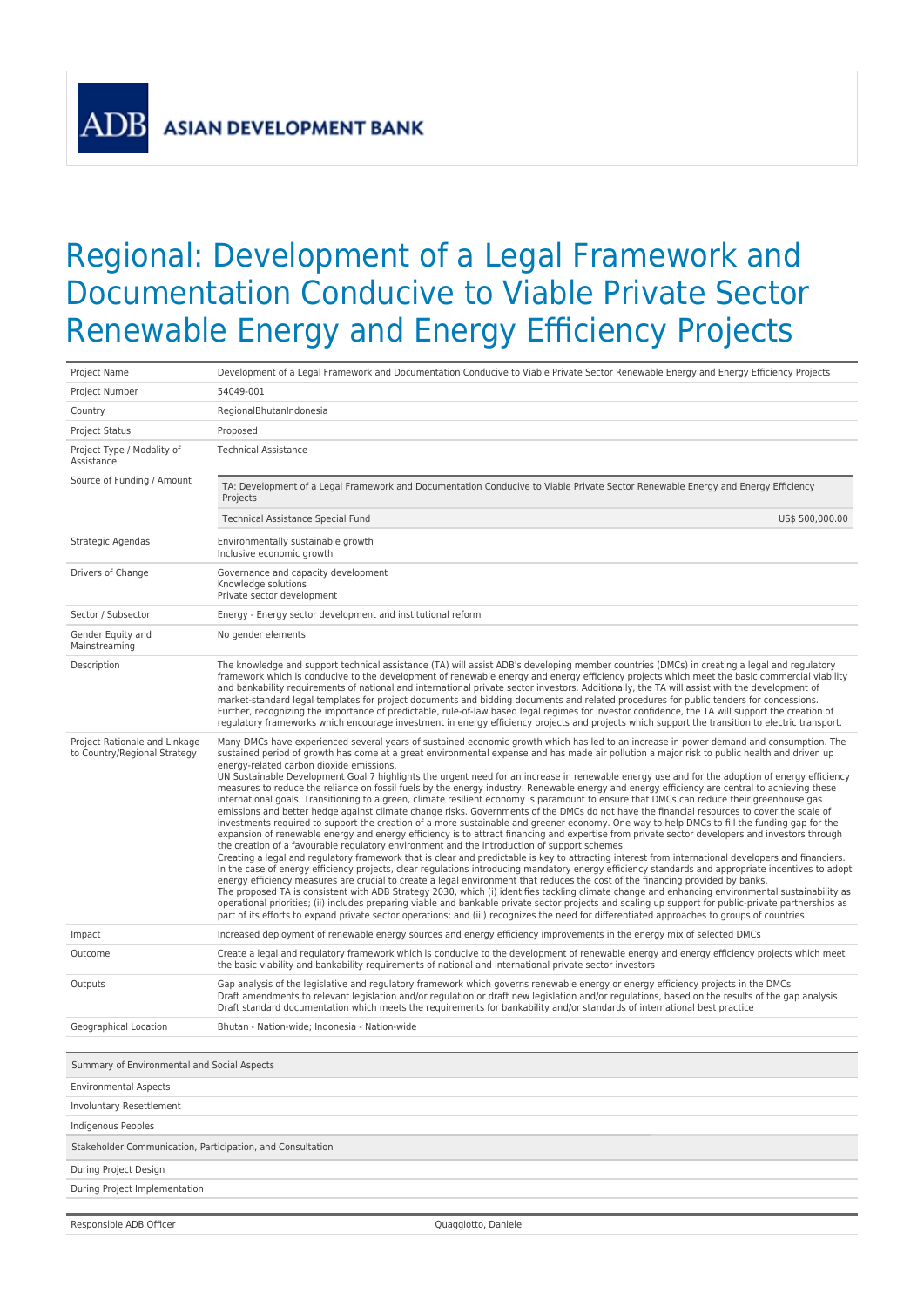**ASIAN DEVELOPMENT BANK** 

**ADI** 

## Regional: Development of a Legal Framework and Documentation Conducive to Viable Private Sector Renewable Energy and Energy Efficiency Projects

| Project Name                                                  | Development of a Legal Framework and Documentation Conducive to Viable Private Sector Renewable Energy and Energy Efficiency Projects                                                                                                                                                                                                                                                                                                                                                                                                                                                                                                                                                                                                                                                                                                                                                                                                                                                                                                                                                                                                                                                                                                                                                                                                                                                                                                                                                                                                                                                                                                                                                                                                                                                                                                                                                                                                                                                                                                                                                                                                                                                                                                          |  |
|---------------------------------------------------------------|------------------------------------------------------------------------------------------------------------------------------------------------------------------------------------------------------------------------------------------------------------------------------------------------------------------------------------------------------------------------------------------------------------------------------------------------------------------------------------------------------------------------------------------------------------------------------------------------------------------------------------------------------------------------------------------------------------------------------------------------------------------------------------------------------------------------------------------------------------------------------------------------------------------------------------------------------------------------------------------------------------------------------------------------------------------------------------------------------------------------------------------------------------------------------------------------------------------------------------------------------------------------------------------------------------------------------------------------------------------------------------------------------------------------------------------------------------------------------------------------------------------------------------------------------------------------------------------------------------------------------------------------------------------------------------------------------------------------------------------------------------------------------------------------------------------------------------------------------------------------------------------------------------------------------------------------------------------------------------------------------------------------------------------------------------------------------------------------------------------------------------------------------------------------------------------------------------------------------------------------|--|
| Project Number                                                | 54049-001                                                                                                                                                                                                                                                                                                                                                                                                                                                                                                                                                                                                                                                                                                                                                                                                                                                                                                                                                                                                                                                                                                                                                                                                                                                                                                                                                                                                                                                                                                                                                                                                                                                                                                                                                                                                                                                                                                                                                                                                                                                                                                                                                                                                                                      |  |
| Country                                                       | RegionalBhutanIndonesia                                                                                                                                                                                                                                                                                                                                                                                                                                                                                                                                                                                                                                                                                                                                                                                                                                                                                                                                                                                                                                                                                                                                                                                                                                                                                                                                                                                                                                                                                                                                                                                                                                                                                                                                                                                                                                                                                                                                                                                                                                                                                                                                                                                                                        |  |
| <b>Project Status</b>                                         | Proposed                                                                                                                                                                                                                                                                                                                                                                                                                                                                                                                                                                                                                                                                                                                                                                                                                                                                                                                                                                                                                                                                                                                                                                                                                                                                                                                                                                                                                                                                                                                                                                                                                                                                                                                                                                                                                                                                                                                                                                                                                                                                                                                                                                                                                                       |  |
| Project Type / Modality of<br>Assistance                      | <b>Technical Assistance</b>                                                                                                                                                                                                                                                                                                                                                                                                                                                                                                                                                                                                                                                                                                                                                                                                                                                                                                                                                                                                                                                                                                                                                                                                                                                                                                                                                                                                                                                                                                                                                                                                                                                                                                                                                                                                                                                                                                                                                                                                                                                                                                                                                                                                                    |  |
| Source of Funding / Amount                                    | TA: Development of a Legal Framework and Documentation Conducive to Viable Private Sector Renewable Energy and Energy Efficiency<br>Projects                                                                                                                                                                                                                                                                                                                                                                                                                                                                                                                                                                                                                                                                                                                                                                                                                                                                                                                                                                                                                                                                                                                                                                                                                                                                                                                                                                                                                                                                                                                                                                                                                                                                                                                                                                                                                                                                                                                                                                                                                                                                                                   |  |
|                                                               | Technical Assistance Special Fund<br>US\$ 500,000.00                                                                                                                                                                                                                                                                                                                                                                                                                                                                                                                                                                                                                                                                                                                                                                                                                                                                                                                                                                                                                                                                                                                                                                                                                                                                                                                                                                                                                                                                                                                                                                                                                                                                                                                                                                                                                                                                                                                                                                                                                                                                                                                                                                                           |  |
| Strategic Agendas                                             | Environmentally sustainable growth<br>Inclusive economic growth                                                                                                                                                                                                                                                                                                                                                                                                                                                                                                                                                                                                                                                                                                                                                                                                                                                                                                                                                                                                                                                                                                                                                                                                                                                                                                                                                                                                                                                                                                                                                                                                                                                                                                                                                                                                                                                                                                                                                                                                                                                                                                                                                                                |  |
| Drivers of Change                                             | Governance and capacity development<br>Knowledge solutions<br>Private sector development                                                                                                                                                                                                                                                                                                                                                                                                                                                                                                                                                                                                                                                                                                                                                                                                                                                                                                                                                                                                                                                                                                                                                                                                                                                                                                                                                                                                                                                                                                                                                                                                                                                                                                                                                                                                                                                                                                                                                                                                                                                                                                                                                       |  |
| Sector / Subsector                                            | Energy - Energy sector development and institutional reform                                                                                                                                                                                                                                                                                                                                                                                                                                                                                                                                                                                                                                                                                                                                                                                                                                                                                                                                                                                                                                                                                                                                                                                                                                                                                                                                                                                                                                                                                                                                                                                                                                                                                                                                                                                                                                                                                                                                                                                                                                                                                                                                                                                    |  |
| Gender Equity and<br>Mainstreaming                            | No gender elements                                                                                                                                                                                                                                                                                                                                                                                                                                                                                                                                                                                                                                                                                                                                                                                                                                                                                                                                                                                                                                                                                                                                                                                                                                                                                                                                                                                                                                                                                                                                                                                                                                                                                                                                                                                                                                                                                                                                                                                                                                                                                                                                                                                                                             |  |
| Description                                                   | The knowledge and support technical assistance (TA) will assist ADB's developing member countries (DMCs) in creating a legal and regulatory<br>framework which is conducive to the development of renewable energy and energy efficiency projects which meet the basic commercial viability<br>and bankability requirements of national and international private sector investors. Additionally, the TA will assist with the development of<br>market-standard legal templates for project documents and bidding documents and related procedures for public tenders for concessions.<br>Further, recognizing the importance of predictable, rule-of-law based legal regimes for investor confidence, the TA will support the creation of<br>regulatory frameworks which encourage investment in energy efficiency projects and projects which support the transition to electric transport.                                                                                                                                                                                                                                                                                                                                                                                                                                                                                                                                                                                                                                                                                                                                                                                                                                                                                                                                                                                                                                                                                                                                                                                                                                                                                                                                                  |  |
| Project Rationale and Linkage<br>to Country/Regional Strategy | Many DMCs have experienced several years of sustained economic growth which has led to an increase in power demand and consumption. The<br>sustained period of growth has come at a great environmental expense and has made air pollution a major risk to public health and driven up<br>energy-related carbon dioxide emissions.<br>UN Sustainable Development Goal 7 highlights the urgent need for an increase in renewable energy use and for the adoption of energy efficiency<br>measures to reduce the reliance on fossil fuels by the energy industry. Renewable energy and energy efficiency are central to achieving these<br>international goals. Transitioning to a green, climate resilient economy is paramount to ensure that DMCs can reduce their greenhouse gas<br>emissions and better hedge against climate change risks. Governments of the DMCs do not have the financial resources to cover the scale of<br>investments required to support the creation of a more sustainable and greener economy. One way to help DMCs to fill the funding gap for the<br>expansion of renewable energy and energy efficiency is to attract financing and expertise from private sector developers and investors through<br>the creation of a favourable regulatory environment and the introduction of support schemes.<br>Creating a legal and regulatory framework that is clear and predictable is key to attracting interest from international developers and financiers.<br>In the case of energy efficiency projects, clear regulations introducing mandatory energy efficiency standards and appropriate incentives to adopt<br>energy efficiency measures are crucial to create a legal environment that reduces the cost of the financing provided by banks.<br>The proposed TA is consistent with ADB Strategy 2030, which (i) identifies tackling climate change and enhancing environmental sustainability as<br>operational priorities; (ii) includes preparing viable and bankable private sector projects and scaling up support for public-private partnerships as<br>part of its efforts to expand private sector operations; and (iii) recognizes the need for differentiated approaches to groups of countries. |  |
| Impact                                                        | Increased deployment of renewable energy sources and energy efficiency improvements in the energy mix of selected DMCs                                                                                                                                                                                                                                                                                                                                                                                                                                                                                                                                                                                                                                                                                                                                                                                                                                                                                                                                                                                                                                                                                                                                                                                                                                                                                                                                                                                                                                                                                                                                                                                                                                                                                                                                                                                                                                                                                                                                                                                                                                                                                                                         |  |
| Outcome                                                       | Create a legal and regulatory framework which is conducive to the development of renewable energy and energy efficiency projects which meet<br>the basic viability and bankability requirements of national and international private sector investors                                                                                                                                                                                                                                                                                                                                                                                                                                                                                                                                                                                                                                                                                                                                                                                                                                                                                                                                                                                                                                                                                                                                                                                                                                                                                                                                                                                                                                                                                                                                                                                                                                                                                                                                                                                                                                                                                                                                                                                         |  |
| Outputs                                                       | Gap analysis of the legislative and regulatory framework which governs renewable energy or energy efficiency projects in the DMCs<br>Draft amendments to relevant legislation and/or regulation or draft new legislation and/or regulations, based on the results of the gap analysis<br>Draft standard documentation which meets the requirements for bankability and/or standards of international best practice                                                                                                                                                                                                                                                                                                                                                                                                                                                                                                                                                                                                                                                                                                                                                                                                                                                                                                                                                                                                                                                                                                                                                                                                                                                                                                                                                                                                                                                                                                                                                                                                                                                                                                                                                                                                                             |  |
| Geographical Location                                         | Bhutan - Nation-wide: Indonesia - Nation-wide                                                                                                                                                                                                                                                                                                                                                                                                                                                                                                                                                                                                                                                                                                                                                                                                                                                                                                                                                                                                                                                                                                                                                                                                                                                                                                                                                                                                                                                                                                                                                                                                                                                                                                                                                                                                                                                                                                                                                                                                                                                                                                                                                                                                  |  |
| Summary of Environmental and Social Aspects                   |                                                                                                                                                                                                                                                                                                                                                                                                                                                                                                                                                                                                                                                                                                                                                                                                                                                                                                                                                                                                                                                                                                                                                                                                                                                                                                                                                                                                                                                                                                                                                                                                                                                                                                                                                                                                                                                                                                                                                                                                                                                                                                                                                                                                                                                |  |
| <b>Environmental Aspects</b>                                  |                                                                                                                                                                                                                                                                                                                                                                                                                                                                                                                                                                                                                                                                                                                                                                                                                                                                                                                                                                                                                                                                                                                                                                                                                                                                                                                                                                                                                                                                                                                                                                                                                                                                                                                                                                                                                                                                                                                                                                                                                                                                                                                                                                                                                                                |  |
| <b>Involuntary Resettlement</b>                               |                                                                                                                                                                                                                                                                                                                                                                                                                                                                                                                                                                                                                                                                                                                                                                                                                                                                                                                                                                                                                                                                                                                                                                                                                                                                                                                                                                                                                                                                                                                                                                                                                                                                                                                                                                                                                                                                                                                                                                                                                                                                                                                                                                                                                                                |  |
| Indigenous Peoples                                            |                                                                                                                                                                                                                                                                                                                                                                                                                                                                                                                                                                                                                                                                                                                                                                                                                                                                                                                                                                                                                                                                                                                                                                                                                                                                                                                                                                                                                                                                                                                                                                                                                                                                                                                                                                                                                                                                                                                                                                                                                                                                                                                                                                                                                                                |  |
| Stakeholder Communication, Participation, and Consultation    |                                                                                                                                                                                                                                                                                                                                                                                                                                                                                                                                                                                                                                                                                                                                                                                                                                                                                                                                                                                                                                                                                                                                                                                                                                                                                                                                                                                                                                                                                                                                                                                                                                                                                                                                                                                                                                                                                                                                                                                                                                                                                                                                                                                                                                                |  |
| During Project Design                                         |                                                                                                                                                                                                                                                                                                                                                                                                                                                                                                                                                                                                                                                                                                                                                                                                                                                                                                                                                                                                                                                                                                                                                                                                                                                                                                                                                                                                                                                                                                                                                                                                                                                                                                                                                                                                                                                                                                                                                                                                                                                                                                                                                                                                                                                |  |
| During Project Implementation                                 |                                                                                                                                                                                                                                                                                                                                                                                                                                                                                                                                                                                                                                                                                                                                                                                                                                                                                                                                                                                                                                                                                                                                                                                                                                                                                                                                                                                                                                                                                                                                                                                                                                                                                                                                                                                                                                                                                                                                                                                                                                                                                                                                                                                                                                                |  |
|                                                               |                                                                                                                                                                                                                                                                                                                                                                                                                                                                                                                                                                                                                                                                                                                                                                                                                                                                                                                                                                                                                                                                                                                                                                                                                                                                                                                                                                                                                                                                                                                                                                                                                                                                                                                                                                                                                                                                                                                                                                                                                                                                                                                                                                                                                                                |  |
| Responsible ADB Officer                                       | Quaggiotto, Daniele                                                                                                                                                                                                                                                                                                                                                                                                                                                                                                                                                                                                                                                                                                                                                                                                                                                                                                                                                                                                                                                                                                                                                                                                                                                                                                                                                                                                                                                                                                                                                                                                                                                                                                                                                                                                                                                                                                                                                                                                                                                                                                                                                                                                                            |  |